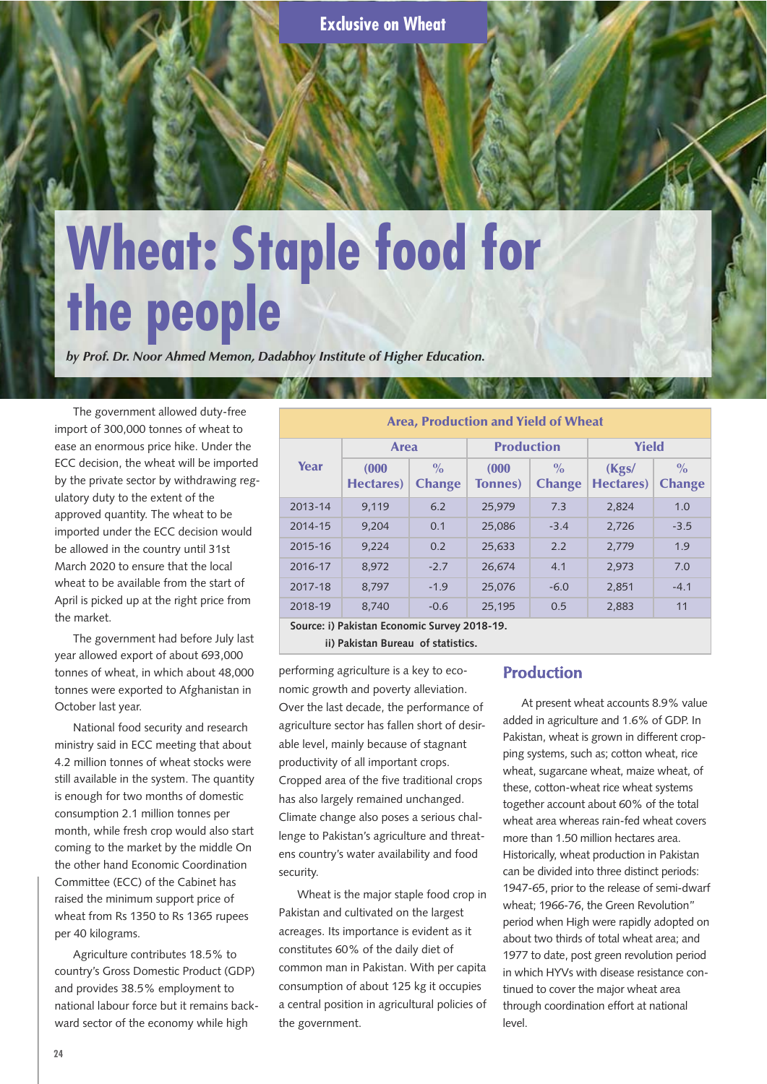# **Wheat: Staple food for the people**

*by Prof. Dr. Noor Ahmed Memon, Dadabhoy Institute of Higher Education.*

The government allowed duty-free import of 300,000 tonnes of wheat to ease an enormous price hike. Under the ECC decision, the wheat will be imported by the private sector by withdrawing regulatory duty to the extent of the approved quantity. The wheat to be imported under the ECC decision would be allowed in the country until 31st March 2020 to ensure that the local wheat to be available from the start of April is picked up at the right price from the market.

The government had before July last year allowed export of about 693,000 tonnes of wheat, in which about 48,000 tonnes were exported to Afghanistan in October last year.

National food security and research ministry said in ECC meeting that about 4.2 million tonnes of wheat stocks were still available in the system. The quantity is enough for two months of domestic consumption 2.1 million tonnes per month, while fresh crop would also start coming to the market by the middle On the other hand Economic Coordination Committee (ECC) of the Cabinet has raised the minimum support price of wheat from Rs 1350 to Rs 1365 rupees per 40 kilograms.

Agriculture contributes 18.5% to country's Gross Domestic Product (GDP) and provides 38.5% employment to national labour force but it remains backward sector of the economy while high

| Area, Production and Yield of Wheat          |                            |                                |                          |                                |                            |                                |  |  |  |
|----------------------------------------------|----------------------------|--------------------------------|--------------------------|--------------------------------|----------------------------|--------------------------------|--|--|--|
| Year                                         | <b>Area</b>                |                                | <b>Production</b>        |                                | <b>Yield</b>               |                                |  |  |  |
|                                              | (000)<br><b>Hectares</b> ) | $\frac{0}{0}$<br><b>Change</b> | (000)<br><b>Tonnes</b> ) | $\frac{0}{0}$<br><b>Change</b> | (Kgs/<br><b>Hectares</b> ) | $\frac{0}{0}$<br><b>Change</b> |  |  |  |
| 2013-14                                      | 9.119                      | 6.2                            | 25,979                   | 7.3                            | 2,824                      | 1.0                            |  |  |  |
| 2014-15                                      | 9.204                      | 0.1                            | 25,086                   | $-3.4$                         | 2,726                      | $-3.5$                         |  |  |  |
| 2015-16                                      | 9.224                      | 0.2                            | 25,633                   | 2.2                            | 2,779                      | 1.9                            |  |  |  |
| 2016-17                                      | 8.972                      | $-2.7$                         | 26,674                   | 4.1                            | 2,973                      | 7.0                            |  |  |  |
| 2017-18                                      | 8.797                      | $-1.9$                         | 25.076                   | $-6.0$                         | 2,851                      | $-4.1$                         |  |  |  |
| 2018-19                                      | 8,740                      | $-0.6$                         | 25,195                   | 0.5                            | 2,883                      | 11                             |  |  |  |
| Source: i) Pakistan Economic Survey 2018-19. |                            |                                |                          |                                |                            |                                |  |  |  |

**ii) Pakistan Bureau of statistics.**

performing agriculture is a key to economic growth and poverty alleviation. Over the last decade, the performance of agriculture sector has fallen short of desirable level, mainly because of stagnant productivity of all important crops. Cropped area of the five traditional crops has also largely remained unchanged. Climate change also poses a serious challenge to Pakistan's agriculture and threatens country's water availability and food security.

Wheat is the major staple food crop in Pakistan and cultivated on the largest acreages. Its importance is evident as it constitutes 60% of the daily diet of common man in Pakistan. With per capita consumption of about 125 kg it occupies a central position in agricultural policies of the government.

## **Production**

At present wheat accounts 8.9% value added in agriculture and 1.6% of GDP. In Pakistan, wheat is grown in different cropping systems, such as; cotton wheat, rice wheat, sugarcane wheat, maize wheat, of these, cotton-wheat rice wheat systems together account about 60% of the total wheat area whereas rain-fed wheat covers more than 1.50 million hectares area. Historically, wheat production in Pakistan can be divided into three distinct periods: 1947-65, prior to the release of semi-dwarf wheat; 1966-76, the Green Revolution" period when High were rapidly adopted on about two thirds of total wheat area; and 1977 to date, post green revolution period in which HYVs with disease resistance continued to cover the major wheat area through coordination effort at national level.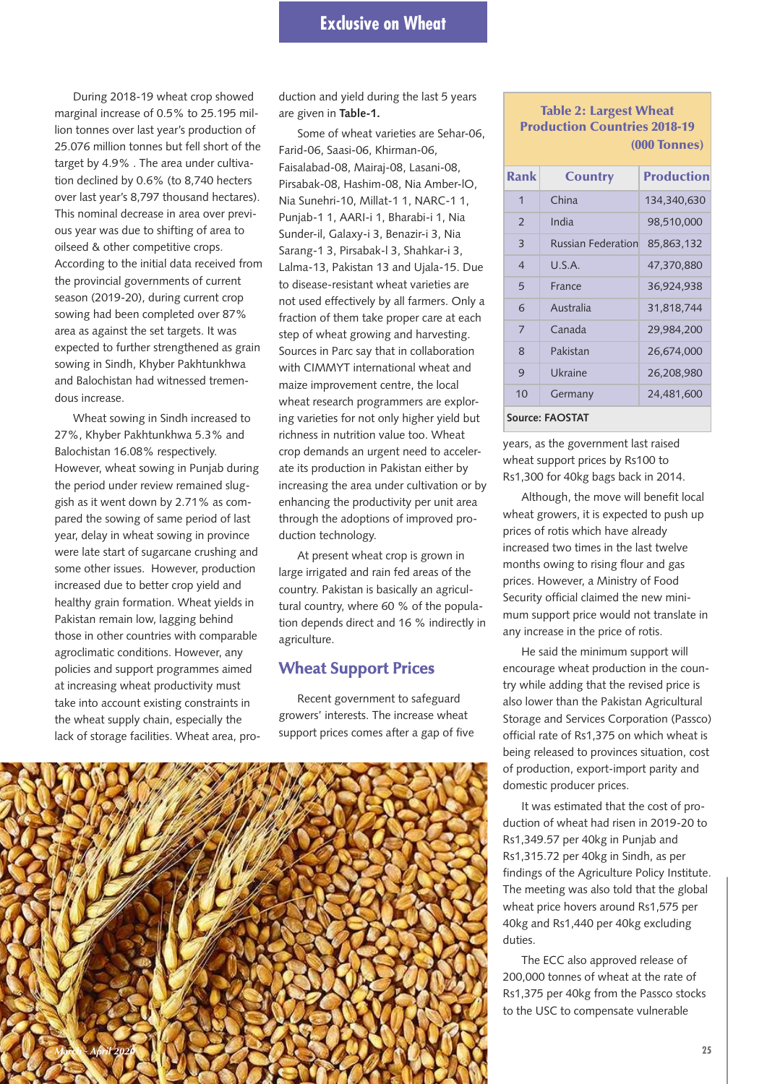During 2018-19 wheat crop showed marginal increase of 0.5% to 25.195 million tonnes over last year's production of 25.076 million tonnes but fell short of the target by 4.9% . The area under cultivation declined by 0.6% (to 8,740 hecters over last year's 8,797 thousand hectares). This nominal decrease in area over previous year was due to shifting of area to oilseed & other competitive crops. According to the initial data received from the provincial governments of current season (2019-20), during current crop sowing had been completed over 87% area as against the set targets. It was expected to further strengthened as grain sowing in Sindh, Khyber Pakhtunkhwa and Balochistan had witnessed tremendous increase.

Wheat sowing in Sindh increased to 27%, Khyber Pakhtunkhwa 5.3% and Balochistan 16.08% respectively. However, wheat sowing in Punjab during the period under review remained sluggish as it went down by 2.71% as compared the sowing of same period of last year, delay in wheat sowing in province were late start of sugarcane crushing and some other issues. However, production increased due to better crop yield and healthy grain formation. Wheat yields in Pakistan remain low, lagging behind those in other countries with comparable agroclimatic conditions. However, any policies and support programmes aimed at increasing wheat productivity must take into account existing constraints in the wheat supply chain, especially the lack of storage facilities. Wheat area, production and yield during the last 5 years are given in **Table-1.**

Some of wheat varieties are Sehar-06, Farid-06, Saasi-06, Khirman-06, Faisalabad-08, Mairaj-08, Lasani-08, Pirsabak-08, Hashim-08, Nia Amber-lO, Nia Sunehri-10, Millat-1 1, NARC-1 1, Punjab-1 1, AARI-i 1, Bharabi-i 1, Nia Sunder-il, Galaxy-i 3, Benazir-i 3, Nia Sarang-1 3, Pirsabak-l 3, Shahkar-i 3, Lalma-13, Pakistan 13 and Ujala-15. Due to disease-resistant wheat varieties are not used effectively by all farmers. Only a fraction of them take proper care at each step of wheat growing and harvesting. Sources in Parc say that in collaboration with CIMMYT international wheat and maize improvement centre, the local wheat research programmers are exploring varieties for not only higher yield but richness in nutrition value too. Wheat crop demands an urgent need to accelerate its production in Pakistan either by increasing the area under cultivation or by enhancing the productivity per unit area through the adoptions of improved production technology.

At present wheat crop is grown in large irrigated and rain fed areas of the country. Pakistan is basically an agricultural country, where 60 % of the population depends direct and 16 % indirectly in agriculture.

### **Wheat Support Prices**

Recent government to safeguard growers' interests. The increase wheat support prices comes after a gap of five



**Table 2: Largest Wheat Production Countries 2018-19 (000 Tonnes)**

| Rank            | <b>Country</b>            | <b>Production</b> |  |  |  |  |
|-----------------|---------------------------|-------------------|--|--|--|--|
| 1               | China                     | 134,340,630       |  |  |  |  |
| $\mathfrak{D}$  | India                     | 98,510,000        |  |  |  |  |
| 3               | <b>Russian Federation</b> | 85,863,132        |  |  |  |  |
| $\overline{4}$  | USA                       | 47,370,880        |  |  |  |  |
| 5               | France                    | 36,924,938        |  |  |  |  |
| 6               | Australia                 | 31,818,744        |  |  |  |  |
| 7               | Canada                    | 29,984,200        |  |  |  |  |
| 8               | Pakistan                  | 26,674,000        |  |  |  |  |
| 9               | Ukraine                   | 26,208,980        |  |  |  |  |
| 10              | Germany                   | 24,481,600        |  |  |  |  |
| Source: FAOSTAT |                           |                   |  |  |  |  |

years, as the government last raised wheat support prices by Rs100 to Rs1,300 for 40kg bags back in 2014.

Although, the move will benefit local wheat growers, it is expected to push up prices of rotis which have already increased two times in the last twelve months owing to rising flour and gas prices. However, a Ministry of Food Security official claimed the new minimum support price would not translate in any increase in the price of rotis.

He said the minimum support will encourage wheat production in the country while adding that the revised price is also lower than the Pakistan Agricultural Storage and Services Corporation (Passco) official rate of Rs1,375 on which wheat is being released to provinces situation, cost of production, export-import parity and domestic producer prices.

It was estimated that the cost of production of wheat had risen in 2019-20 to Rs1,349.57 per 40kg in Punjab and Rs1,315.72 per 40kg in Sindh, as per findings of the Agriculture Policy Institute. The meeting was also told that the global wheat price hovers around Rs1,575 per 40kg and Rs1,440 per 40kg excluding duties.

The ECC also approved release of 200,000 tonnes of wheat at the rate of Rs1,375 per 40kg from the Passco stocks to the USC to compensate vulnerable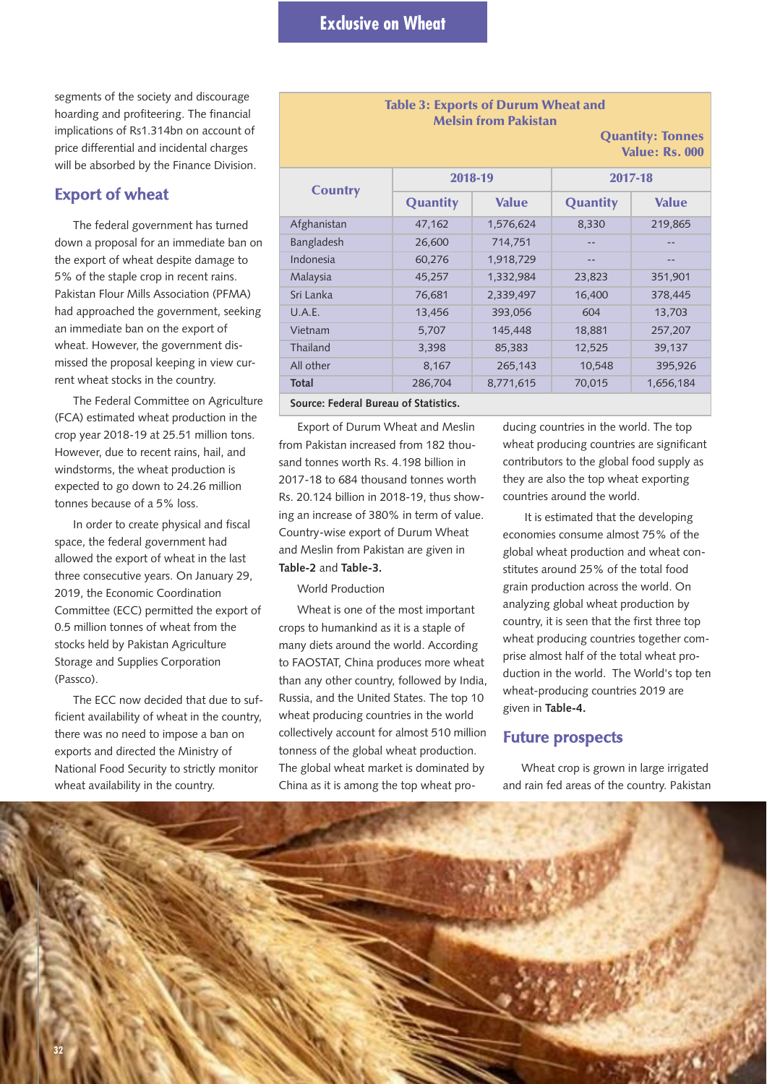segments of the society and discourage hoarding and profiteering. The financial implications of Rs1.314bn on account of price differential and incidental charges will be absorbed by the Finance Division.

#### **Export of wheat**

The federal government has turned down a proposal for an immediate ban on the export of wheat despite damage to 5% of the staple crop in recent rains. Pakistan Flour Mills Association (PFMA) had approached the government, seeking an immediate ban on the export of wheat. However, the government dismissed the proposal keeping in view current wheat stocks in the country.

The Federal Committee on Agriculture (FCA) estimated wheat production in the crop year 2018-19 at 25.51 million tons. However, due to recent rains, hail, and windstorms, the wheat production is expected to go down to 24.26 million tonnes because of a 5% loss.

In order to create physical and fiscal space, the federal government had allowed the export of wheat in the last three consecutive years. On January 29, 2019, the Economic Coordination Committee (ECC) permitted the export of 0.5 million tonnes of wheat from the stocks held by Pakistan Agriculture Storage and Supplies Corporation (Passco).

The ECC now decided that due to sufficient availability of wheat in the country, there was no need to impose a ban on exports and directed the Ministry of National Food Security to strictly monitor wheat availability in the country.

## **Table 3: Exports of Durum Wheat and Melsin from Pakistan Quantity: Tonnes Value: Rs. 000 Country 2018-19 2017-18 Quantity Value Quantity Value** Afghanistan 47,162 1,576,624 8,330 219,865 Bangladesh 26,600 714,751 -- 1 Indonesia 60,276 1,918,729 Malaysia 45,257 1,332,984 23,823 351,901 Sri Lanka 76,681 2,339,497 16,400 378,445 U.A.E. 13,456 393,056 604 13,703 Vietnam 5,707 145,448 18,881 257,207 Thailand 12,525 85,398 85,383 12,525 39,137 All other 8,167 265,143 10,548 395,926 **Total** 286,704 8,771,615 70,015 1,656,184

**Source: Federal Bureau of Statistics.**

Export of Durum Wheat and Meslin from Pakistan increased from 182 thousand tonnes worth Rs. 4.198 billion in 2017-18 to 684 thousand tonnes worth Rs. 20.124 billion in 2018-19, thus showing an increase of 380% in term of value. Country-wise export of Durum Wheat and Meslin from Pakistan are given in **Table-2** and **Table-3.**

World Production

Wheat is one of the most important crops to humankind as it is a staple of many diets around the world. According to FAOSTAT, China produces more wheat than any other country, followed by India, Russia, and the United States. The top 10 wheat producing countries in the world collectively account for almost 510 million tonness of the global wheat production. The global wheat market is dominated by China as it is among the top wheat pro-

ducing countries in the world. The top wheat producing countries are significant contributors to the global food supply as they are also the top wheat exporting countries around the world.

It is estimated that the developing economies consume almost 75% of the global wheat production and wheat constitutes around 25% of the total food grain production across the world. On analyzing global wheat production by country, it is seen that the first three top wheat producing countries together comprise almost half of the total wheat production in the world. The World's top ten wheat-producing countries 2019 are given in **Table-4.**

#### **Future prospects**

Wheat crop is grown in large irrigated and rain fed areas of the country. Pakistan